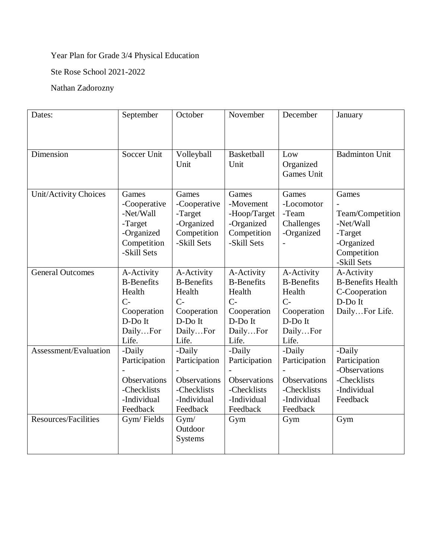## Year Plan for Grade 3/4 Physical Education

Ste Rose School 2021-2022

## Nathan Zadorozny

| Dates:                      | September                                                                                        | October                                                                                          | November                                                                                         | December                                                                                         | January                                                                                       |
|-----------------------------|--------------------------------------------------------------------------------------------------|--------------------------------------------------------------------------------------------------|--------------------------------------------------------------------------------------------------|--------------------------------------------------------------------------------------------------|-----------------------------------------------------------------------------------------------|
|                             |                                                                                                  |                                                                                                  |                                                                                                  |                                                                                                  |                                                                                               |
| Dimension                   | Soccer Unit                                                                                      | Volleyball<br>Unit                                                                               | <b>Basketball</b><br>Unit                                                                        | Low<br>Organized<br>Games Unit                                                                   | <b>Badminton Unit</b>                                                                         |
| Unit/Activity Choices       | Games<br>-Cooperative<br>-Net/Wall<br>-Target<br>-Organized<br>Competition<br>-Skill Sets        | Games<br>-Cooperative<br>-Target<br>-Organized<br>Competition<br>-Skill Sets                     | Games<br>-Movement<br>-Hoop/Target<br>-Organized<br>Competition<br>-Skill Sets                   | Games<br>-Locomotor<br>-Team<br>Challenges<br>-Organized                                         | Games<br>Team/Competition<br>-Net/Wall<br>-Target<br>-Organized<br>Competition<br>-Skill Sets |
| <b>General Outcomes</b>     | A-Activity<br><b>B-Benefits</b><br>Health<br>$C-$<br>Cooperation<br>D-Do It<br>DailyFor<br>Life. | A-Activity<br><b>B-Benefits</b><br>Health<br>$C-$<br>Cooperation<br>D-Do It<br>DailyFor<br>Life. | A-Activity<br><b>B-Benefits</b><br>Health<br>$C-$<br>Cooperation<br>D-Do It<br>DailyFor<br>Life. | A-Activity<br><b>B-Benefits</b><br>Health<br>$C-$<br>Cooperation<br>D-Do It<br>DailyFor<br>Life. | A-Activity<br><b>B-Benefits Health</b><br>C-Cooperation<br>D-Do It<br>DailyFor Life.          |
| Assessment/Evaluation       | -Daily<br>Participation<br>Observations<br>-Checklists<br>-Individual<br>Feedback                | -Daily<br>Participation<br>Observations<br>-Checklists<br>-Individual<br>Feedback                | -Daily<br>Participation<br>Observations<br>-Checklists<br>-Individual<br>Feedback                | -Daily<br>Participation<br>Observations<br>-Checklists<br>-Individual<br>Feedback                | -Daily<br>Participation<br>-Observations<br>-Checklists<br>-Individual<br>Feedback            |
| <b>Resources/Facilities</b> | Gym/Fields                                                                                       | Gym/<br>Outdoor<br>Systems                                                                       | Gym                                                                                              | Gym                                                                                              | Gym                                                                                           |